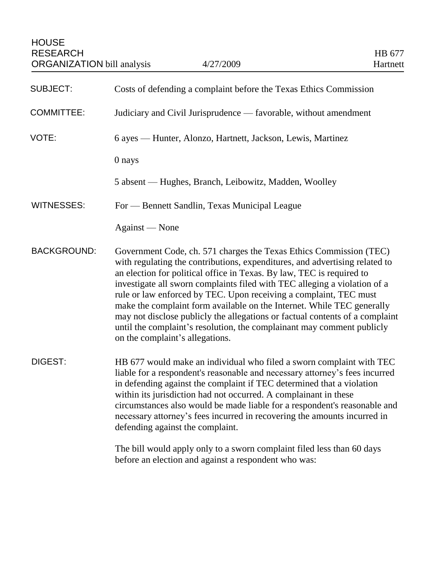| <b>SUBJECT:</b>    | Costs of defending a complaint before the Texas Ethics Commission                                                                                                                                                                                                                                                                                                                                                                                                                                                                                                                                                                                   |
|--------------------|-----------------------------------------------------------------------------------------------------------------------------------------------------------------------------------------------------------------------------------------------------------------------------------------------------------------------------------------------------------------------------------------------------------------------------------------------------------------------------------------------------------------------------------------------------------------------------------------------------------------------------------------------------|
| <b>COMMITTEE:</b>  | Judiciary and Civil Jurisprudence — favorable, without amendment                                                                                                                                                                                                                                                                                                                                                                                                                                                                                                                                                                                    |
| VOTE:              | 6 ayes — Hunter, Alonzo, Hartnett, Jackson, Lewis, Martinez                                                                                                                                                                                                                                                                                                                                                                                                                                                                                                                                                                                         |
|                    | 0 nays                                                                                                                                                                                                                                                                                                                                                                                                                                                                                                                                                                                                                                              |
|                    | 5 absent — Hughes, Branch, Leibowitz, Madden, Woolley                                                                                                                                                                                                                                                                                                                                                                                                                                                                                                                                                                                               |
| <b>WITNESSES:</b>  | For — Bennett Sandlin, Texas Municipal League                                                                                                                                                                                                                                                                                                                                                                                                                                                                                                                                                                                                       |
|                    | Against — None                                                                                                                                                                                                                                                                                                                                                                                                                                                                                                                                                                                                                                      |
| <b>BACKGROUND:</b> | Government Code, ch. 571 charges the Texas Ethics Commission (TEC)<br>with regulating the contributions, expenditures, and advertising related to<br>an election for political office in Texas. By law, TEC is required to<br>investigate all sworn complaints filed with TEC alleging a violation of a<br>rule or law enforced by TEC. Upon receiving a complaint, TEC must<br>make the complaint form available on the Internet. While TEC generally<br>may not disclose publicly the allegations or factual contents of a complaint<br>until the complaint's resolution, the complainant may comment publicly<br>on the complaint's allegations. |
| DIGEST:            | HB 677 would make an individual who filed a sworn complaint with TEC<br>liable for a respondent's reasonable and necessary attorney's fees incurred<br>in defending against the complaint if TEC determined that a violation<br>within its jurisdiction had not occurred. A complainant in these<br>circumstances also would be made liable for a respondent's reasonable and<br>necessary attorney's fees incurred in recovering the amounts incurred in<br>defending against the complaint.                                                                                                                                                       |
|                    | The bill would apply only to a sworn complaint filed less than 60 days<br>before an election and against a respondent who was:                                                                                                                                                                                                                                                                                                                                                                                                                                                                                                                      |